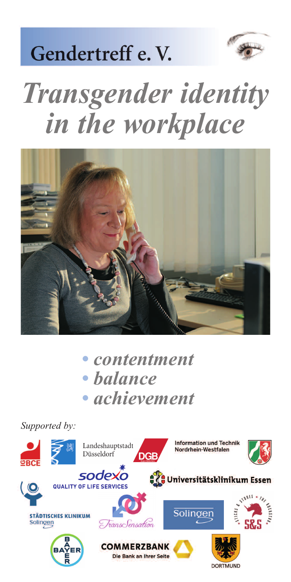

## Gendertreff e.V.

## *Transgender identity in the workplace*



*• contentment • balance • achievement*